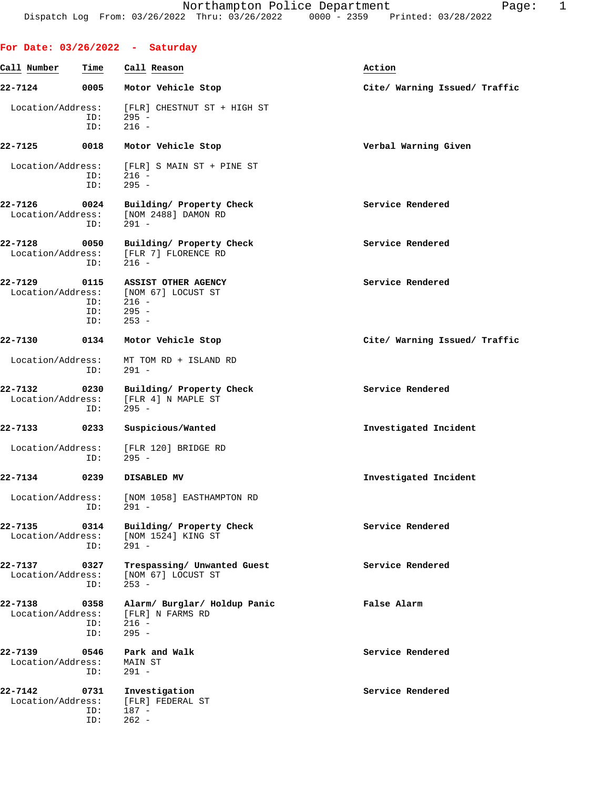**For Date: 03/26/2022 - Saturday Call Number Time Call Reason Action 22-7124 0005 Motor Vehicle Stop Cite/ Warning Issued/ Traffic** Location/Address: [FLR] CHESTNUT ST + HIGH ST ID: 295 - ID: 216 - **22-7125 0018 Motor Vehicle Stop Verbal Warning Given** Location/Address: [FLR] S MAIN ST + PINE ST<br>ID: 216 - $216 -$  ID: 295 - 22-7126 0024 Building/ Property Check **Service Rendered**  Location/Address: [NOM 2488] DAMON RD ID: 291 - 22-7128 0050 Building/ Property Check **Service Rendered** Bocation/Address: [FLR 7] FLORENCE RD [FLR 7] FLORENCE RD ID: 216 - **22-7129 0115 ASSIST OTHER AGENCY Service Rendered** Location/Address: [NOM 67] LOCUST ST ID: 216 - ID: 295 - ID: 253 - **22-7130 0134 Motor Vehicle Stop Cite/ Warning Issued/ Traffic** Location/Address: MT TOM RD + ISLAND RD ID: 291 - **22-7132 0230 Building/ Property Check Service Rendered** Location/Address: [FLR 4] N MAPLE ST<br>ID: 295 - ID: 295 - **22-7133 0233 Suspicious/Wanted Investigated Incident** Location/Address: [FLR 120] BRIDGE RD ID: 295 - **22-7134 0239 DISABLED MV Investigated Incident** Location/Address: [NOM 1058] EASTHAMPTON RD ID: 291 - **22-7135** 0314 Building/ Property Check Service Rendered Location/Address: [NOM 1524] KING ST [NOM 1524] KING ST ID: 291 - **22-7137 0327 Trespassing/ Unwanted Guest Service Rendered** Location/Address: [NOM 67] LOCUST ST<br>ID: 253 - ID: 253 - **22-7138 0358 Alarm/ Burglar/ Holdup Panic False Alarm** Location/Address:<br>ID:  $216 -$  ID: 295 - **22-7139 0546 Park and Walk Service Rendered** Location/Address: MAIN ST ID: 291 - **22-7142 0731 Investigation Service Rendered** Location/Address: [FLR] FEDERAL ST<br>ID: 187 - ID: 187 - ID: 262 -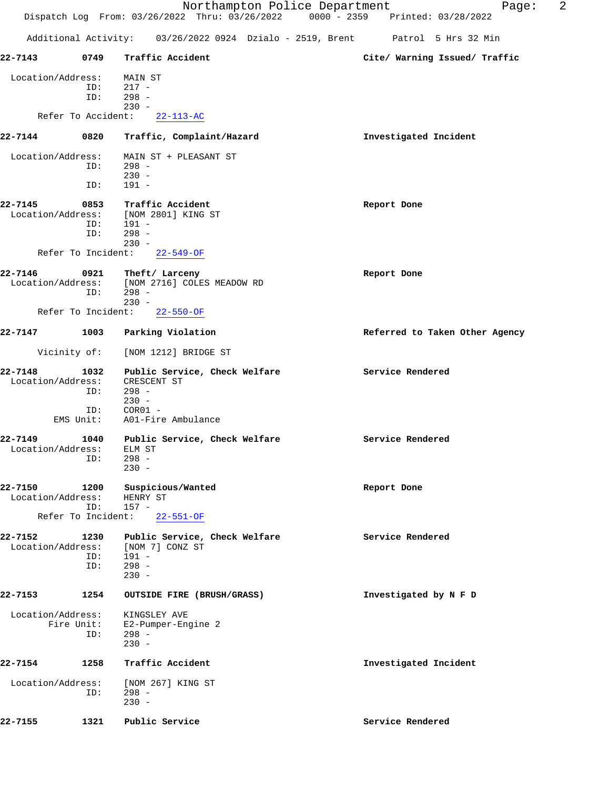|                                                    |                    | Northampton Police Department<br>Dispatch Log From: 03/26/2022 Thru: 03/26/2022 0000 - 2359 Printed: 03/28/2022 | 2<br>Page:                     |
|----------------------------------------------------|--------------------|-----------------------------------------------------------------------------------------------------------------|--------------------------------|
|                                                    |                    | Additional Activity: 03/26/2022 0924 Dzialo - 2519, Brent Patrol 5 Hrs 32 Min                                   |                                |
| 22-7143                                            | 0749               | Traffic Accident                                                                                                | Cite/ Warning Issued/ Traffic  |
| Location/Address:                                  | ID:<br>ID:         | MAIN ST<br>$217 -$<br>$298 -$<br>$230 -$                                                                        |                                |
| Refer To Accident:                                 |                    | $22 - 113 - AC$                                                                                                 |                                |
| 22-7144                                            | 0820               | Traffic, Complaint/Hazard                                                                                       | Investigated Incident          |
| Location/Address:                                  | ID:<br>ID:         | MAIN ST + PLEASANT ST<br>298 -<br>$230 -$<br>$191 -$                                                            |                                |
| 22-7145<br>Location/Address:                       | 0853<br>ID:<br>ID: | Traffic Accident<br>[NOM 2801] KING ST<br>191 -<br>$298 -$<br>$230 -$                                           | Report Done                    |
| Refer To Incident:                                 |                    | $22 - 549 - OF$                                                                                                 |                                |
| 22-7146<br>Location/Address:                       | 0921<br>ID:        | Theft/ Larceny<br>[NOM 2716] COLES MEADOW RD<br>$298 -$<br>$230 -$                                              | Report Done                    |
| Refer To Incident:                                 |                    | $22 - 550 - OF$                                                                                                 |                                |
| 22-7147                                            | 1003               | Parking Violation                                                                                               | Referred to Taken Other Agency |
| Vicinity of:                                       |                    | [NOM 1212] BRIDGE ST                                                                                            |                                |
| 22-7148<br>Location/Address:<br>EMS Unit:          | 1032<br>ID:<br>ID: | Public Service, Check Welfare<br>CRESCENT ST<br>$298 -$<br>$230 -$<br>$COR01 -$<br>A01-Fire Ambulance           | Service Rendered               |
| 22-7149<br>Location/Address:                       | 1040<br>ID:        | Public Service, Check Welfare<br>ELM ST<br>$298 -$<br>$230 -$                                                   | Service Rendered               |
| 22-7150<br>Location/Address:<br>Refer To Incident: | 1200<br>ID:        | Suspicious/Wanted<br>HENRY ST<br>$157 -$<br>$22 - 551 - OF$                                                     | Report Done                    |
| 22-7152<br>Location/Address:                       | 1230<br>ID:<br>ID: | Public Service, Check Welfare<br>[NOM 7] CONZ ST<br>191 -<br>$298 -$<br>$230 -$                                 | Service Rendered               |
| 22-7153                                            | 1254               | OUTSIDE FIRE (BRUSH/GRASS)                                                                                      | Investigated by N F D          |
| Location/Address:<br>Fire Unit:                    | ID:                | KINGSLEY AVE<br>E2-Pumper-Engine 2<br>$298 -$<br>$230 -$                                                        |                                |
| 22-7154                                            | 1258               | Traffic Accident                                                                                                | Investigated Incident          |
| Location/Address:                                  | ID:                | [NOM 267] KING ST<br>$298 -$<br>$230 -$                                                                         |                                |
| 22-7155                                            | 1321               | Public Service                                                                                                  | Service Rendered               |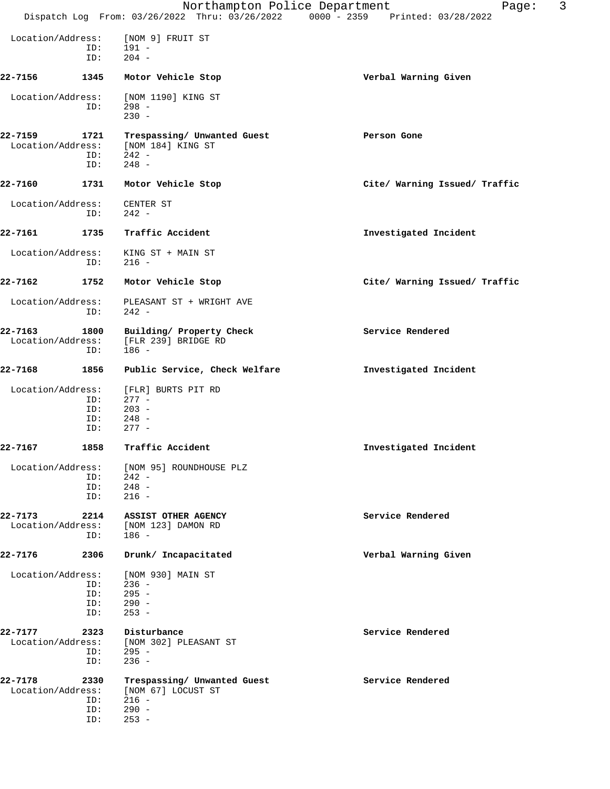|                              |                           | Northampton Police Department<br>Dispatch Log From: 03/26/2022 Thru: 03/26/2022 0000 - 2359 Printed: 03/28/2022 | 3<br>Page:                    |
|------------------------------|---------------------------|-----------------------------------------------------------------------------------------------------------------|-------------------------------|
| Location/Address:            |                           | [NOM 9] FRUIT ST                                                                                                |                               |
|                              | ID:<br>ID:                | 191 -<br>$204 -$                                                                                                |                               |
| 22-7156                      | 1345                      | Motor Vehicle Stop                                                                                              | Verbal Warning Given          |
| Location/Address:            | ID:                       | [NOM 1190] KING ST<br>298 -<br>$230 -$                                                                          |                               |
| 22-7159                      | 1721<br>ID:<br>ID:        | Trespassing/ Unwanted Guest<br>Location/Address: [NOM 184] KING ST<br>$242 -$<br>$248 -$                        | Person Gone                   |
| 22-7160                      | 1731                      | Motor Vehicle Stop                                                                                              | Cite/ Warning Issued/ Traffic |
| Location/Address:            | ID:                       | CENTER ST<br>242 -                                                                                              |                               |
| 22-7161                      | 1735                      | Traffic Accident                                                                                                | Investigated Incident         |
| Location/Address:            | ID:                       | KING ST + MAIN ST<br>216 -                                                                                      |                               |
| 22-7162                      | 1752                      | Motor Vehicle Stop                                                                                              | Cite/ Warning Issued/ Traffic |
| Location/Address:            | ID:                       | PLEASANT ST + WRIGHT AVE<br>$242 -$                                                                             |                               |
| 22-7163<br>Location/Address: | 1800<br>ID:               | Building/ Property Check<br>[FLR 239] BRIDGE RD<br>$186 -$                                                      | Service Rendered              |
| 22-7168                      | 1856                      | Public Service, Check Welfare                                                                                   | Investigated Incident         |
| Location/Address:            | ID:<br>ID:<br>ID:<br>ID:  | [FLR] BURTS PIT RD<br>$277 -$<br>$203 -$<br>$248 -$<br>$277 -$                                                  |                               |
| 22-7167                      | 1858                      | Traffic Accident                                                                                                | Investigated Incident         |
| Location/Address:            | ID:<br>ID:                | [NOM 95] ROUNDHOUSE PLZ<br>- 242<br>$ID: 248 -$<br>$216 -$                                                      |                               |
| 22-7173<br>Location/Address: | 2214<br>ID:               | <b>ASSIST OTHER AGENCY</b><br>[NOM 123] DAMON RD<br>186 -                                                       | Service Rendered              |
| 22-7176                      | 2306                      | Drunk/ Incapacitated                                                                                            | Verbal Warning Given          |
| Location/Address:            | ID:<br>ID:<br>ID:         | [NOM 930] MAIN ST<br>236 -<br>$ID: 295 -$<br>$290 -$<br>$253 -$                                                 |                               |
| 22-7177                      | 2323<br>ID:<br>ID:        | Disturbance<br>Location/Address: [NOM 302] PLEASANT ST<br>$295 -$<br>$236 -$                                    | Service Rendered              |
| 22-7178<br>Location/Address: | 2330<br>ID:<br>ID:<br>ID: | Trespassing/ Unwanted Guest<br>[NOM 67] LOCUST ST<br>$216 -$<br>$290 -$<br>$253 -$                              | Service Rendered              |